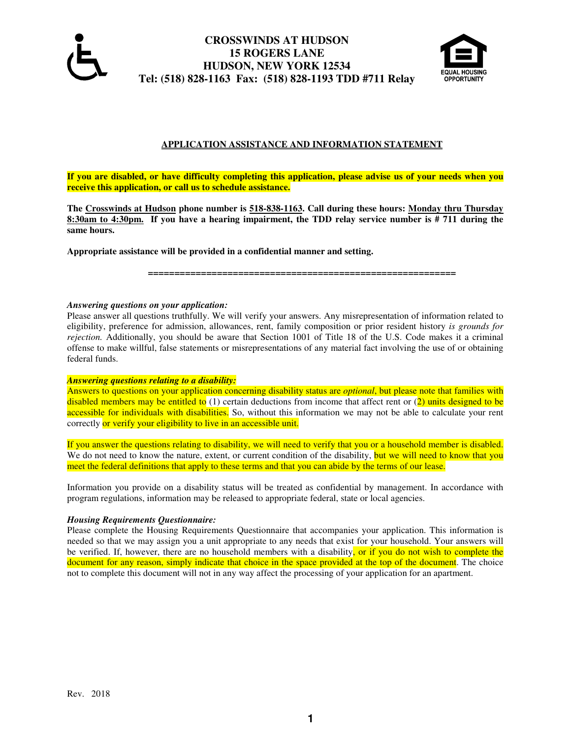

# **CROSSWINDS AT HUDSON 15 ROGERS LANE HUDSON, NEW YORK 12534 Tel: (518) 828-1163 Fax: (518) 828-1193 TDD #711 Relay**



# **APPLICATION ASSISTANCE AND INFORMATION STATEMENT**

**If you are disabled, or have difficulty completing this application, please advise us of your needs when you receive this application, or call us to schedule assistance.** 

**The Crosswinds at Hudson phone number is 518-838-1163. Call during these hours: Monday thru Thursday 8:30am to 4:30pm. If you have a hearing impairment, the TDD relay service number is # 711 during the same hours.** 

**Appropriate assistance will be provided in a confidential manner and setting.** 

 **==========================================================** 

### *Answering questions on your application:*

Please answer all questions truthfully. We will verify your answers. Any misrepresentation of information related to eligibility, preference for admission, allowances, rent, family composition or prior resident history *is grounds for rejection.* Additionally, you should be aware that Section 1001 of Title 18 of the U.S. Code makes it a criminal offense to make willful, false statements or misrepresentations of any material fact involving the use of or obtaining federal funds.

### *Answering questions relating to a disability:*

Answers to questions on your application concerning disability status are *optional*, but please note that families with disabled members may be entitled to  $(1)$  certain deductions from income that affect rent or  $(2)$  units designed to be accessible for individuals with disabilities. So, without this information we may not be able to calculate your rent correctly or verify your eligibility to live in an accessible unit.

If you answer the questions relating to disability, we will need to verify that you or a household member is disabled. We do not need to know the nature, extent, or current condition of the disability, but we will need to know that you meet the federal definitions that apply to these terms and that you can abide by the terms of our lease.

Information you provide on a disability status will be treated as confidential by management. In accordance with program regulations, information may be released to appropriate federal, state or local agencies.

### *Housing Requirements Questionnaire:*

Please complete the Housing Requirements Questionnaire that accompanies your application. This information is needed so that we may assign you a unit appropriate to any needs that exist for your household. Your answers will be verified. If, however, there are no household members with a disability, or if you do not wish to complete the document for any reason, simply indicate that choice in the space provided at the top of the document. The choice not to complete this document will not in any way affect the processing of your application for an apartment.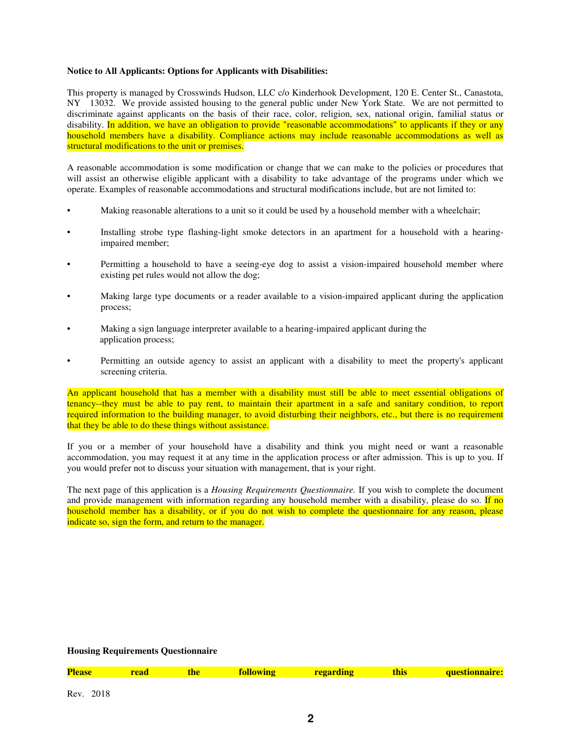### **Notice to All Applicants: Options for Applicants with Disabilities:**

This property is managed by Crosswinds Hudson, LLC c/o Kinderhook Development, 120 E. Center St., Canastota, NY 13032. We provide assisted housing to the general public under New York State. We are not permitted to discriminate against applicants on the basis of their race, color, religion, sex, national origin, familial status or disability. In addition, we have an obligation to provide "reasonable accommodations" to applicants if they or any household members have a disability. Compliance actions may include reasonable accommodations as well as structural modifications to the unit or premises.

A reasonable accommodation is some modification or change that we can make to the policies or procedures that will assist an otherwise eligible applicant with a disability to take advantage of the programs under which we operate. Examples of reasonable accommodations and structural modifications include, but are not limited to:

- Making reasonable alterations to a unit so it could be used by a household member with a wheelchair;
- Installing strobe type flashing-light smoke detectors in an apartment for a household with a hearingimpaired member;
- Permitting a household to have a seeing-eye dog to assist a vision-impaired household member where existing pet rules would not allow the dog;
- Making large type documents or a reader available to a vision-impaired applicant during the application process;
- Making a sign language interpreter available to a hearing-impaired applicant during the application process;
- Permitting an outside agency to assist an applicant with a disability to meet the property's applicant screening criteria.

An applicant household that has a member with a disability must still be able to meet essential obligations of tenancy--they must be able to pay rent, to maintain their apartment in a safe and sanitary condition, to report required information to the building manager, to avoid disturbing their neighbors, etc., but there is no requirement that they be able to do these things without assistance.

If you or a member of your household have a disability and think you might need or want a reasonable accommodation, you may request it at any time in the application process or after admission. This is up to you. If you would prefer not to discuss your situation with management, that is your right.

The next page of this application is a *Housing Requirements Questionnaire.* If you wish to complete the document and provide management with information regarding any household member with a disability, please do so. If no household member has a disability, or if you do not wish to complete the questionnaire for any reason, please indicate so, sign the form, and return to the manager.

### **Housing Requirements Questionnaire**

| <b>lease</b> | read | the | following |  |
|--------------|------|-----|-----------|--|

**Preaduring regarding regarding regarding this questionnaire:**